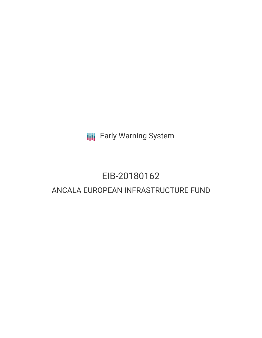**III** Early Warning System

# EIB-20180162 ANCALA EUROPEAN INFRASTRUCTURE FUND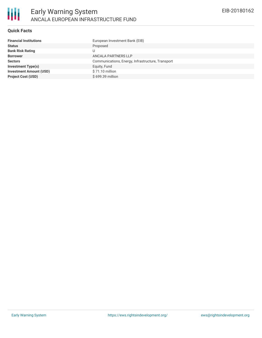

#### **Quick Facts**

| <b>Financial Institutions</b>  | European Investment Bank (EIB)                    |
|--------------------------------|---------------------------------------------------|
| <b>Status</b>                  | Proposed                                          |
| <b>Bank Risk Rating</b>        |                                                   |
| <b>Borrower</b>                | ANCALA PARTNERS LLP                               |
| <b>Sectors</b>                 | Communications, Energy, Infrastructure, Transport |
| <b>Investment Type(s)</b>      | Equity, Fund                                      |
| <b>Investment Amount (USD)</b> | \$71.10 million                                   |
| <b>Project Cost (USD)</b>      | \$699.39 million                                  |
|                                |                                                   |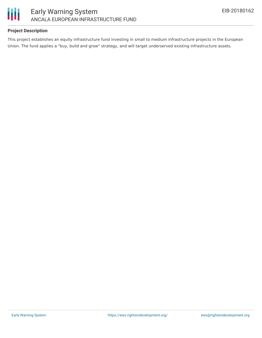



# **Project Description**

This project establishes an equity infrastructure fund investing in small to medium infrastructure projects in the European Union. The fund applies a "buy, build and grow" strategy, and will target underserved existing infrastructure assets.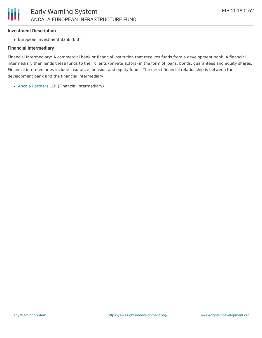## **Investment Description**

European Investment Bank (EIB)

#### **Financial Intermediary**

Financial Intermediary: A commercial bank or financial institution that receives funds from a development bank. A financial intermediary then lends these funds to their clients (private actors) in the form of loans, bonds, guarantees and equity shares. Financial intermediaries include insurance, pension and equity funds. The direct financial relationship is between the development bank and the financial intermediary.

Ancala [Partners](file:///actor/801/) LLP (Financial Intermediary)